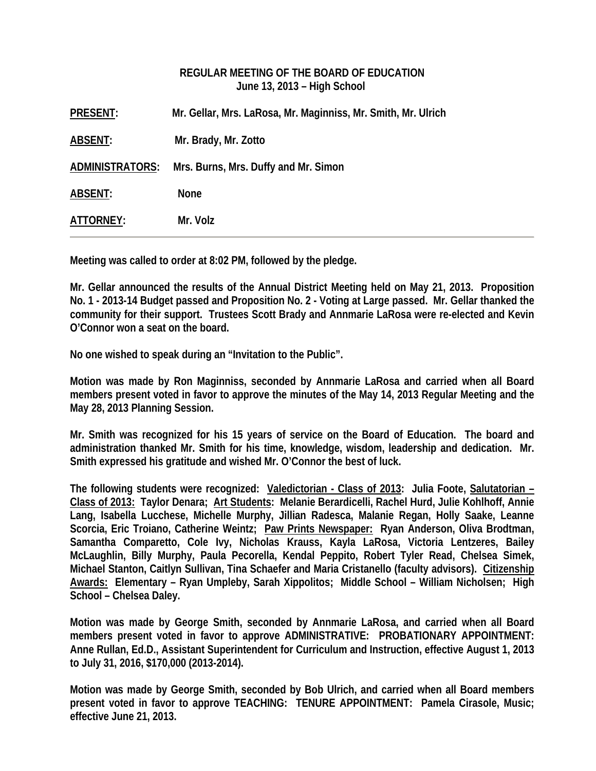# **REGULAR MEETING OF THE BOARD OF EDUCATION June 13, 2013 – High School**

| <b>PRESENT:</b>        | Mr. Gellar, Mrs. LaRosa, Mr. Maginniss, Mr. Smith, Mr. Ulrich |
|------------------------|---------------------------------------------------------------|
| ABSENT:                | Mr. Brady, Mr. Zotto                                          |
| <u>ADMINISTRATORS:</u> | Mrs. Burns, Mrs. Duffy and Mr. Simon                          |
| ABSENT:                | <b>None</b>                                                   |
| ATTORNEY:              | Mr. Volz                                                      |

**Meeting was called to order at 8:02 PM, followed by the pledge.** 

**Mr. Gellar announced the results of the Annual District Meeting held on May 21, 2013. Proposition No. 1 - 2013-14 Budget passed and Proposition No. 2 - Voting at Large passed. Mr. Gellar thanked the community for their support. Trustees Scott Brady and Annmarie LaRosa were re-elected and Kevin O'Connor won a seat on the board.** 

**No one wished to speak during an "Invitation to the Public".** 

**Motion was made by Ron Maginniss, seconded by Annmarie LaRosa and carried when all Board members present voted in favor to approve the minutes of the May 14, 2013 Regular Meeting and the May 28, 2013 Planning Session.** 

**Mr. Smith was recognized for his 15 years of service on the Board of Education. The board and administration thanked Mr. Smith for his time, knowledge, wisdom, leadership and dedication. Mr. Smith expressed his gratitude and wished Mr. O'Connor the best of luck.** 

**The following students were recognized: Valedictorian - Class of 2013: Julia Foote, Salutatorian – Class of 2013: Taylor Denara; Art Students: Melanie Berardicelli, Rachel Hurd, Julie Kohlhoff, Annie Lang, Isabella Lucchese, Michelle Murphy, Jillian Radesca, Malanie Regan, Holly Saake, Leanne Scorcia, Eric Troiano, Catherine Weintz; Paw Prints Newspaper: Ryan Anderson, Oliva Brodtman, Samantha Comparetto, Cole Ivy, Nicholas Krauss, Kayla LaRosa, Victoria Lentzeres, Bailey McLaughlin, Billy Murphy, Paula Pecorella, Kendal Peppito, Robert Tyler Read, Chelsea Simek, Michael Stanton, Caitlyn Sullivan, Tina Schaefer and Maria Cristanello (faculty advisors). Citizenship Awards: Elementary – Ryan Umpleby, Sarah Xippolitos; Middle School – William Nicholsen; High School – Chelsea Daley.** 

**Motion was made by George Smith, seconded by Annmarie LaRosa, and carried when all Board members present voted in favor to approve ADMINISTRATIVE: PROBATIONARY APPOINTMENT: Anne Rullan, Ed.D., Assistant Superintendent for Curriculum and Instruction, effective August 1, 2013 to July 31, 2016, \$170,000 (2013-2014).** 

**Motion was made by George Smith, seconded by Bob Ulrich, and carried when all Board members present voted in favor to approve TEACHING: TENURE APPOINTMENT: Pamela Cirasole, Music; effective June 21, 2013.**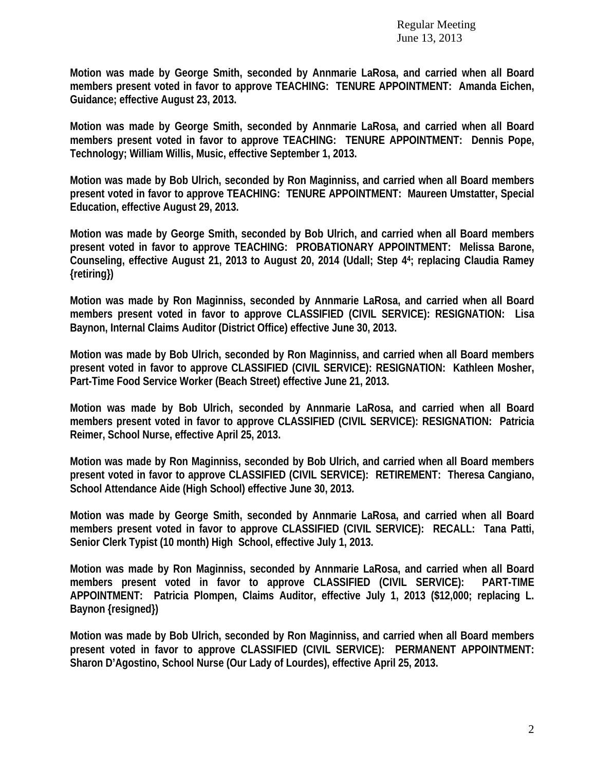**Motion was made by George Smith, seconded by Annmarie LaRosa, and carried when all Board members present voted in favor to approve TEACHING: TENURE APPOINTMENT: Amanda Eichen, Guidance; effective August 23, 2013.** 

**Motion was made by George Smith, seconded by Annmarie LaRosa, and carried when all Board members present voted in favor to approve TEACHING: TENURE APPOINTMENT: Dennis Pope, Technology; William Willis, Music, effective September 1, 2013.** 

**Motion was made by Bob Ulrich, seconded by Ron Maginniss, and carried when all Board members present voted in favor to approve TEACHING: TENURE APPOINTMENT: Maureen Umstatter, Special Education, effective August 29, 2013.** 

**Motion was made by George Smith, seconded by Bob Ulrich, and carried when all Board members present voted in favor to approve TEACHING: PROBATIONARY APPOINTMENT: Melissa Barone, Counseling, effective August 21, 2013 to August 20, 2014 (Udall; Step 44; replacing Claudia Ramey {retiring})** 

**Motion was made by Ron Maginniss, seconded by Annmarie LaRosa, and carried when all Board members present voted in favor to approve CLASSIFIED (CIVIL SERVICE): RESIGNATION: Lisa Baynon, Internal Claims Auditor (District Office) effective June 30, 2013.** 

**Motion was made by Bob Ulrich, seconded by Ron Maginniss, and carried when all Board members present voted in favor to approve CLASSIFIED (CIVIL SERVICE): RESIGNATION: Kathleen Mosher, Part-Time Food Service Worker (Beach Street) effective June 21, 2013.** 

**Motion was made by Bob Ulrich, seconded by Annmarie LaRosa, and carried when all Board members present voted in favor to approve CLASSIFIED (CIVIL SERVICE): RESIGNATION: Patricia Reimer, School Nurse, effective April 25, 2013.** 

**Motion was made by Ron Maginniss, seconded by Bob Ulrich, and carried when all Board members present voted in favor to approve CLASSIFIED (CIVIL SERVICE): RETIREMENT: Theresa Cangiano, School Attendance Aide (High School) effective June 30, 2013.** 

**Motion was made by George Smith, seconded by Annmarie LaRosa, and carried when all Board members present voted in favor to approve CLASSIFIED (CIVIL SERVICE): RECALL: Tana Patti, Senior Clerk Typist (10 month) High School, effective July 1, 2013.** 

**Motion was made by Ron Maginniss, seconded by Annmarie LaRosa, and carried when all Board members present voted in favor to approve CLASSIFIED (CIVIL SERVICE): PART-TIME APPOINTMENT: Patricia Plompen, Claims Auditor, effective July 1, 2013 (\$12,000; replacing L. Baynon {resigned})** 

**Motion was made by Bob Ulrich, seconded by Ron Maginniss, and carried when all Board members present voted in favor to approve CLASSIFIED (CIVIL SERVICE): PERMANENT APPOINTMENT: Sharon D'Agostino, School Nurse (Our Lady of Lourdes), effective April 25, 2013.**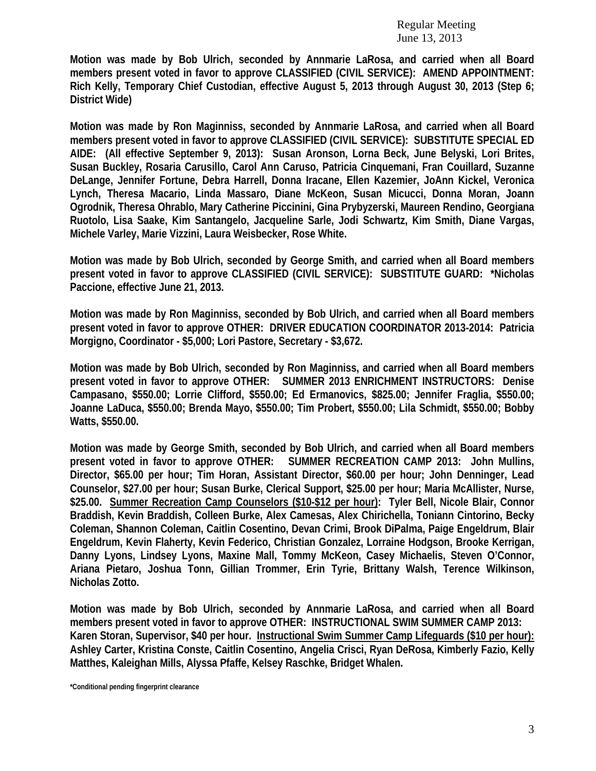**Motion was made by Bob Ulrich, seconded by Annmarie LaRosa, and carried when all Board members present voted in favor to approve CLASSIFIED (CIVIL SERVICE): AMEND APPOINTMENT: Rich Kelly, Temporary Chief Custodian, effective August 5, 2013 through August 30, 2013 (Step 6; District Wide)** 

**Motion was made by Ron Maginniss, seconded by Annmarie LaRosa, and carried when all Board members present voted in favor to approve CLASSIFIED (CIVIL SERVICE): SUBSTITUTE SPECIAL ED AIDE: (All effective September 9, 2013): Susan Aronson, Lorna Beck, June Belyski, Lori Brites, Susan Buckley, Rosaria Carusillo, Carol Ann Caruso, Patricia Cinquemani, Fran Couillard, Suzanne DeLange, Jennifer Fortune, Debra Harrell, Donna Iracane, Ellen Kazemier, JoAnn Kickel, Veronica Lynch, Theresa Macario, Linda Massaro, Diane McKeon, Susan Micucci, Donna Moran, Joann Ogrodnik, Theresa Ohrablo, Mary Catherine Piccinini, Gina Prybyzerski, Maureen Rendino, Georgiana Ruotolo, Lisa Saake, Kim Santangelo, Jacqueline Sarle, Jodi Schwartz, Kim Smith, Diane Vargas, Michele Varley, Marie Vizzini, Laura Weisbecker, Rose White.** 

**Motion was made by Bob Ulrich, seconded by George Smith, and carried when all Board members present voted in favor to approve CLASSIFIED (CIVIL SERVICE): SUBSTITUTE GUARD: \*Nicholas Paccione, effective June 21, 2013.** 

**Motion was made by Ron Maginniss, seconded by Bob Ulrich, and carried when all Board members present voted in favor to approve OTHER: DRIVER EDUCATION COORDINATOR 2013-2014: Patricia Morgigno, Coordinator - \$5,000; Lori Pastore, Secretary - \$3,672.** 

**Motion was made by Bob Ulrich, seconded by Ron Maginniss, and carried when all Board members present voted in favor to approve OTHER: SUMMER 2013 ENRICHMENT INSTRUCTORS: Denise Campasano, \$550.00; Lorrie Clifford, \$550.00; Ed Ermanovics, \$825.00; Jennifer Fraglia, \$550.00; Joanne LaDuca, \$550.00; Brenda Mayo, \$550.00; Tim Probert, \$550.00; Lila Schmidt, \$550.00; Bobby Watts, \$550.00.** 

**Motion was made by George Smith, seconded by Bob Ulrich, and carried when all Board members present voted in favor to approve OTHER: SUMMER RECREATION CAMP 2013: John Mullins, Director, \$65.00 per hour; Tim Horan, Assistant Director, \$60.00 per hour; John Denninger, Lead Counselor, \$27.00 per hour; Susan Burke, Clerical Support, \$25.00 per hour; Maria McAllister, Nurse, \$25.00. Summer Recreation Camp Counselors (\$10-\$12 per hour): Tyler Bell, Nicole Blair, Connor Braddish, Kevin Braddish, Colleen Burke, Alex Camesas, Alex Chirichella, Toniann Cintorino, Becky Coleman, Shannon Coleman, Caitlin Cosentino, Devan Crimi, Brook DiPalma, Paige Engeldrum, Blair Engeldrum, Kevin Flaherty, Kevin Federico, Christian Gonzalez, Lorraine Hodgson, Brooke Kerrigan, Danny Lyons, Lindsey Lyons, Maxine Mall, Tommy McKeon, Casey Michaelis, Steven O'Connor, Ariana Pietaro, Joshua Tonn, Gillian Trommer, Erin Tyrie, Brittany Walsh, Terence Wilkinson, Nicholas Zotto.** 

**Motion was made by Bob Ulrich, seconded by Annmarie LaRosa, and carried when all Board members present voted in favor to approve OTHER: INSTRUCTIONAL SWIM SUMMER CAMP 2013: Karen Storan, Supervisor, \$40 per hour. Instructional Swim Summer Camp Lifeguards (\$10 per hour): Ashley Carter, Kristina Conste, Caitlin Cosentino, Angelia Crisci, Ryan DeRosa, Kimberly Fazio, Kelly Matthes, Kaleighan Mills, Alyssa Pfaffe, Kelsey Raschke, Bridget Whalen.** 

**\*Conditional pending fingerprint clearance**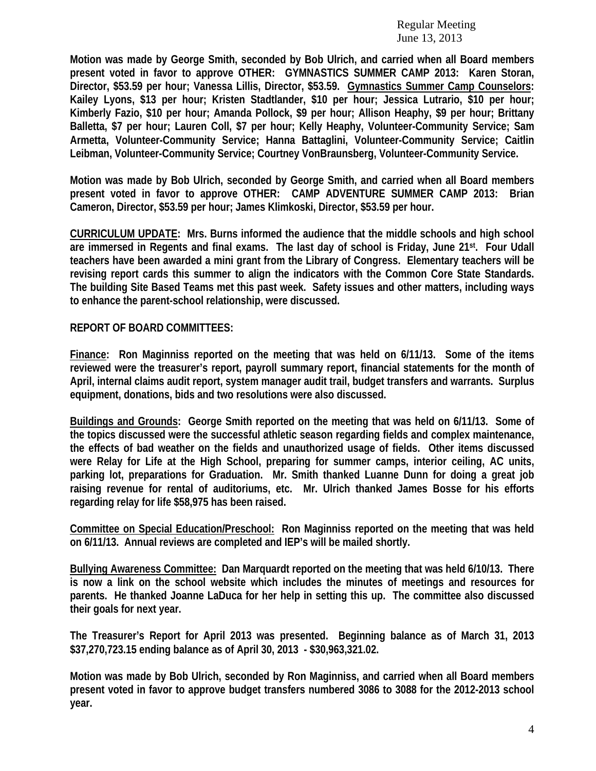**Motion was made by George Smith, seconded by Bob Ulrich, and carried when all Board members present voted in favor to approve OTHER: GYMNASTICS SUMMER CAMP 2013: Karen Storan, Director, \$53.59 per hour; Vanessa Lillis, Director, \$53.59. Gymnastics Summer Camp Counselors: Kailey Lyons, \$13 per hour; Kristen Stadtlander, \$10 per hour; Jessica Lutrario, \$10 per hour; Kimberly Fazio, \$10 per hour; Amanda Pollock, \$9 per hour; Allison Heaphy, \$9 per hour; Brittany Balletta, \$7 per hour; Lauren Coll, \$7 per hour; Kelly Heaphy, Volunteer-Community Service; Sam Armetta, Volunteer-Community Service; Hanna Battaglini, Volunteer-Community Service; Caitlin Leibman, Volunteer-Community Service; Courtney VonBraunsberg, Volunteer-Community Service.** 

**Motion was made by Bob Ulrich, seconded by George Smith, and carried when all Board members present voted in favor to approve OTHER: CAMP ADVENTURE SUMMER CAMP 2013: Brian Cameron, Director, \$53.59 per hour; James Klimkoski, Director, \$53.59 per hour.** 

**CURRICULUM UPDATE: Mrs. Burns informed the audience that the middle schools and high school are immersed in Regents and final exams. The last day of school is Friday, June 21st. Four Udall teachers have been awarded a mini grant from the Library of Congress. Elementary teachers will be revising report cards this summer to align the indicators with the Common Core State Standards. The building Site Based Teams met this past week. Safety issues and other matters, including ways to enhance the parent-school relationship, were discussed.** 

### **REPORT OF BOARD COMMITTEES:**

**Finance: Ron Maginniss reported on the meeting that was held on 6/11/13. Some of the items reviewed were the treasurer's report, payroll summary report, financial statements for the month of April, internal claims audit report, system manager audit trail, budget transfers and warrants. Surplus equipment, donations, bids and two resolutions were also discussed.** 

**Buildings and Grounds: George Smith reported on the meeting that was held on 6/11/13. Some of the topics discussed were the successful athletic season regarding fields and complex maintenance, the effects of bad weather on the fields and unauthorized usage of fields. Other items discussed were Relay for Life at the High School, preparing for summer camps, interior ceiling, AC units, parking lot, preparations for Graduation. Mr. Smith thanked Luanne Dunn for doing a great job raising revenue for rental of auditoriums, etc. Mr. Ulrich thanked James Bosse for his efforts regarding relay for life \$58,975 has been raised.** 

**Committee on Special Education/Preschool: Ron Maginniss reported on the meeting that was held on 6/11/13. Annual reviews are completed and IEP's will be mailed shortly.** 

**Bullying Awareness Committee: Dan Marquardt reported on the meeting that was held 6/10/13. There is now a link on the school website which includes the minutes of meetings and resources for parents. He thanked Joanne LaDuca for her help in setting this up. The committee also discussed their goals for next year.** 

**The Treasurer's Report for April 2013 was presented. Beginning balance as of March 31, 2013 \$37,270,723.15 ending balance as of April 30, 2013 - \$30,963,321.02.** 

**Motion was made by Bob Ulrich, seconded by Ron Maginniss, and carried when all Board members present voted in favor to approve budget transfers numbered 3086 to 3088 for the 2012-2013 school year.**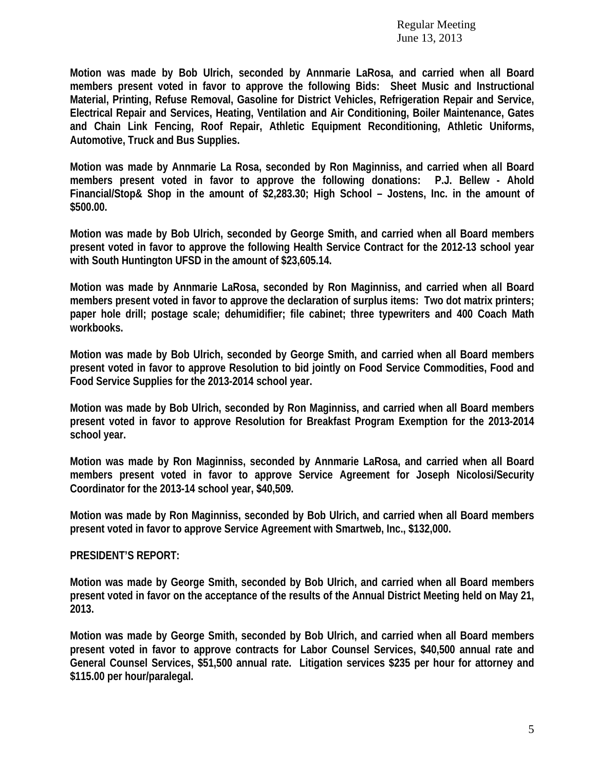**Motion was made by Bob Ulrich, seconded by Annmarie LaRosa, and carried when all Board members present voted in favor to approve the following Bids: Sheet Music and Instructional Material, Printing, Refuse Removal, Gasoline for District Vehicles, Refrigeration Repair and Service, Electrical Repair and Services, Heating, Ventilation and Air Conditioning, Boiler Maintenance, Gates and Chain Link Fencing, Roof Repair, Athletic Equipment Reconditioning, Athletic Uniforms, Automotive, Truck and Bus Supplies.** 

**Motion was made by Annmarie La Rosa, seconded by Ron Maginniss, and carried when all Board members present voted in favor to approve the following donations: P.J. Bellew - Ahold Financial/Stop& Shop in the amount of \$2,283.30; High School – Jostens, Inc. in the amount of \$500.00.** 

**Motion was made by Bob Ulrich, seconded by George Smith, and carried when all Board members present voted in favor to approve the following Health Service Contract for the 2012-13 school year with South Huntington UFSD in the amount of \$23,605.14.** 

**Motion was made by Annmarie LaRosa, seconded by Ron Maginniss, and carried when all Board members present voted in favor to approve the declaration of surplus items: Two dot matrix printers; paper hole drill; postage scale; dehumidifier; file cabinet; three typewriters and 400 Coach Math workbooks.** 

**Motion was made by Bob Ulrich, seconded by George Smith, and carried when all Board members present voted in favor to approve Resolution to bid jointly on Food Service Commodities, Food and Food Service Supplies for the 2013-2014 school year.** 

**Motion was made by Bob Ulrich, seconded by Ron Maginniss, and carried when all Board members present voted in favor to approve Resolution for Breakfast Program Exemption for the 2013-2014 school year.** 

**Motion was made by Ron Maginniss, seconded by Annmarie LaRosa, and carried when all Board members present voted in favor to approve Service Agreement for Joseph Nicolosi/Security Coordinator for the 2013-14 school year, \$40,509.** 

**Motion was made by Ron Maginniss, seconded by Bob Ulrich, and carried when all Board members present voted in favor to approve Service Agreement with Smartweb, Inc., \$132,000.** 

#### **PRESIDENT'S REPORT:**

**Motion was made by George Smith, seconded by Bob Ulrich, and carried when all Board members present voted in favor on the acceptance of the results of the Annual District Meeting held on May 21, 2013.** 

**Motion was made by George Smith, seconded by Bob Ulrich, and carried when all Board members present voted in favor to approve contracts for Labor Counsel Services, \$40,500 annual rate and General Counsel Services, \$51,500 annual rate. Litigation services \$235 per hour for attorney and \$115.00 per hour/paralegal.**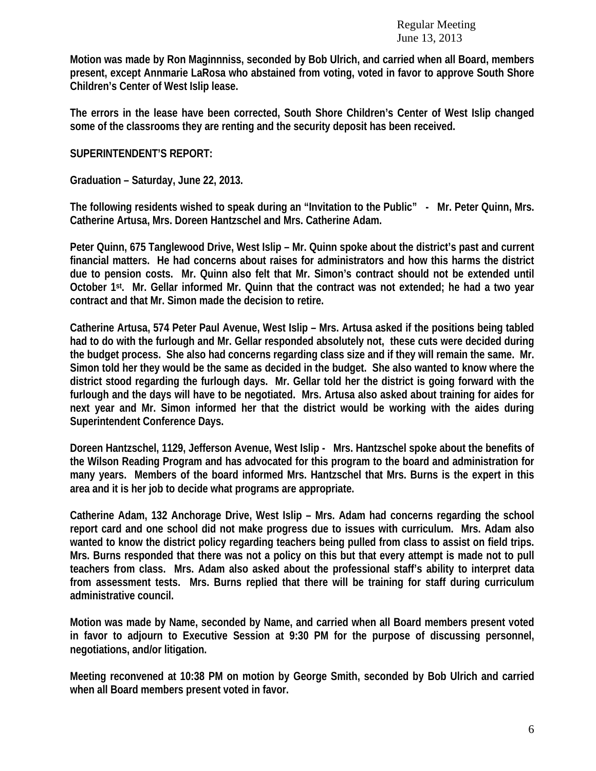**Motion was made by Ron Maginnniss, seconded by Bob Ulrich, and carried when all Board, members present, except Annmarie LaRosa who abstained from voting, voted in favor to approve South Shore Children's Center of West Islip lease.** 

**The errors in the lease have been corrected, South Shore Children's Center of West Islip changed some of the classrooms they are renting and the security deposit has been received.** 

## **SUPERINTENDENT'S REPORT:**

**Graduation – Saturday, June 22, 2013.** 

**The following residents wished to speak during an "Invitation to the Public" - Mr. Peter Quinn, Mrs. Catherine Artusa, Mrs. Doreen Hantzschel and Mrs. Catherine Adam.** 

**Peter Quinn, 675 Tanglewood Drive, West Islip – Mr. Quinn spoke about the district's past and current financial matters. He had concerns about raises for administrators and how this harms the district due to pension costs. Mr. Quinn also felt that Mr. Simon's contract should not be extended until October 1st. Mr. Gellar informed Mr. Quinn that the contract was not extended; he had a two year contract and that Mr. Simon made the decision to retire.** 

**Catherine Artusa, 574 Peter Paul Avenue, West Islip – Mrs. Artusa asked if the positions being tabled had to do with the furlough and Mr. Gellar responded absolutely not, these cuts were decided during the budget process. She also had concerns regarding class size and if they will remain the same. Mr. Simon told her they would be the same as decided in the budget. She also wanted to know where the district stood regarding the furlough days. Mr. Gellar told her the district is going forward with the furlough and the days will have to be negotiated. Mrs. Artusa also asked about training for aides for next year and Mr. Simon informed her that the district would be working with the aides during Superintendent Conference Days.** 

**Doreen Hantzschel, 1129, Jefferson Avenue, West Islip - Mrs. Hantzschel spoke about the benefits of the Wilson Reading Program and has advocated for this program to the board and administration for many years. Members of the board informed Mrs. Hantzschel that Mrs. Burns is the expert in this area and it is her job to decide what programs are appropriate.** 

**Catherine Adam, 132 Anchorage Drive, West Islip – Mrs. Adam had concerns regarding the school report card and one school did not make progress due to issues with curriculum. Mrs. Adam also wanted to know the district policy regarding teachers being pulled from class to assist on field trips. Mrs. Burns responded that there was not a policy on this but that every attempt is made not to pull teachers from class. Mrs. Adam also asked about the professional staff's ability to interpret data from assessment tests. Mrs. Burns replied that there will be training for staff during curriculum administrative council.** 

**Motion was made by Name, seconded by Name, and carried when all Board members present voted in favor to adjourn to Executive Session at 9:30 PM for the purpose of discussing personnel, negotiations, and/or litigation.** 

**Meeting reconvened at 10:38 PM on motion by George Smith, seconded by Bob Ulrich and carried when all Board members present voted in favor.**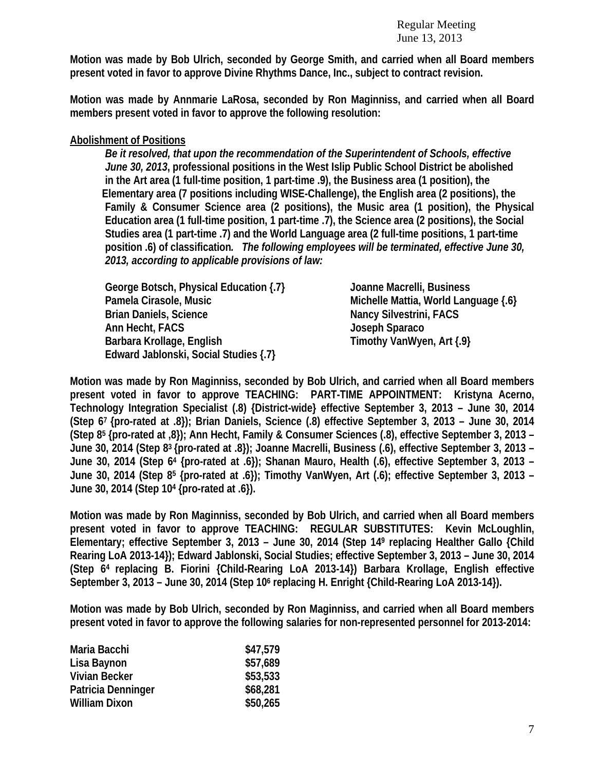**Motion was made by Bob Ulrich, seconded by George Smith, and carried when all Board members present voted in favor to approve Divine Rhythms Dance, Inc., subject to contract revision.** 

**Motion was made by Annmarie LaRosa, seconded by Ron Maginniss, and carried when all Board members present voted in favor to approve the following resolution:** 

## **Abolishment of Positions**

*Be it resolved, that upon the recommendation of the Superintendent of Schools, effective June 30, 2013***, professional positions in the West Islip Public School District be abolished in the Art area (1 full-time position, 1 part-time .9), the Business area (1 position), the Elementary area (7 positions including WISE-Challenge), the English area (2 positions), the Family & Consumer Science area (2 positions), the Music area (1 position), the Physical Education area (1 full-time position, 1 part-time .7), the Science area (2 positions), the Social Studies area (1 part-time .7) and the World Language area (2 full-time positions, 1 part-time position .6) of classification***. The following employees will be terminated, effective June 30, 2013, according to applicable provisions of law:* 

 **George Botsch, Physical Education {.7} Joanne Macrelli, Business Pamela Cirasole, Music Michelle Mattia, World Language {.6} Brian Daniels, Science Nancy Silvestrini, FACS Ann Hecht, FACS Joseph Sparaco Barbara Krollage, English Timothy VanWyen, Art {.9} Edward Jablonski, Social Studies {.7}** 

**Motion was made by Ron Maginniss, seconded by Bob Ulrich, and carried when all Board members present voted in favor to approve TEACHING: PART-TIME APPOINTMENT: Kristyna Acerno, Technology Integration Specialist (.8) {District-wide} effective September 3, 2013 – June 30, 2014 (Step 67 {pro-rated at .8}); Brian Daniels, Science (.8) effective September 3, 2013 – June 30, 2014 (Step 85 {pro-rated at ,8}); Ann Hecht, Family & Consumer Sciences (.8), effective September 3, 2013 – June 30, 2014 (Step 83 {pro-rated at .8}); Joanne Macrelli, Business (.6), effective September 3, 2013 – June 30, 2014 (Step 64 {pro-rated at .6}); Shanan Mauro, Health (.6), effective September 3, 2013 – June 30, 2014 (Step 85 {pro-rated at .6}); Timothy VanWyen, Art (.6); effective September 3, 2013 – June 30, 2014 (Step 104 {pro-rated at .6}).** 

**Motion was made by Ron Maginniss, seconded by Bob Ulrich, and carried when all Board members present voted in favor to approve TEACHING: REGULAR SUBSTITUTES: Kevin McLoughlin, Elementary; effective September 3, 2013 – June 30, 2014 (Step 149 replacing Healther Gallo {Child Rearing LoA 2013-14}); Edward Jablonski, Social Studies; effective September 3, 2013 – June 30, 2014 (Step 64 replacing B. Fiorini {Child-Rearing LoA 2013-14}) Barbara Krollage, English effective September 3, 2013 – June 30, 2014 (Step 106 replacing H. Enright {Child-Rearing LoA 2013-14}).** 

**Motion was made by Bob Ulrich, seconded by Ron Maginniss, and carried when all Board members present voted in favor to approve the following salaries for non-represented personnel for 2013-2014:** 

| Maria Bacchi         | \$47,579 |
|----------------------|----------|
| Lisa Baynon          | \$57,689 |
| <b>Vivian Becker</b> | \$53,533 |
| Patricia Denninger   | \$68,281 |
| <b>William Dixon</b> | \$50,265 |